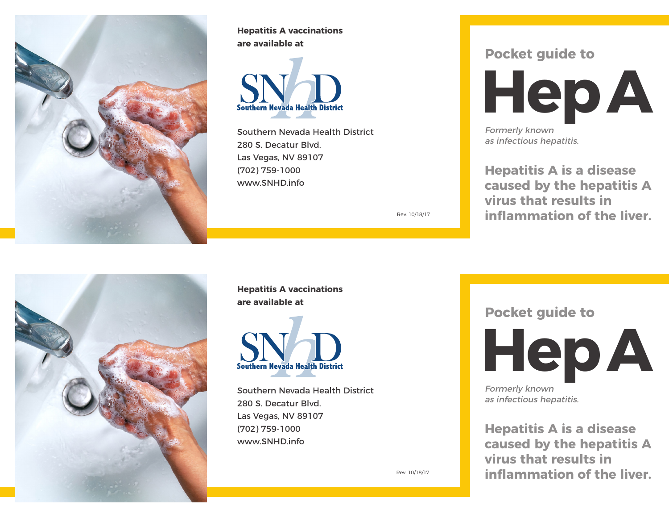

**Hepatitis A vaccinations are available at**



Southern Nevada Health District 280 S. Decatur Blvd. Las Vegas, NV 89107 (702) 759-1000 www.SNHD.info

Rev. 10/18/17

 **Pocket guide to**



**Hepatitis A is a disease caused by the hepatitis A virus that results in inflammation of the liver.**



**Hepatitis A vaccinations are available at**



Southern Nevada Health District 280 S. Decatur Blvd. Las Vegas, NV 89107 (702) 759-1000 www.SNHD.info

 **Pocket guide to**

**Hep A** Formerly known

as infectious hepatitis.

**Hepatitis A is a disease caused by the hepatitis A virus that results in inflammation of the liver.**

Rev. 10/18/17